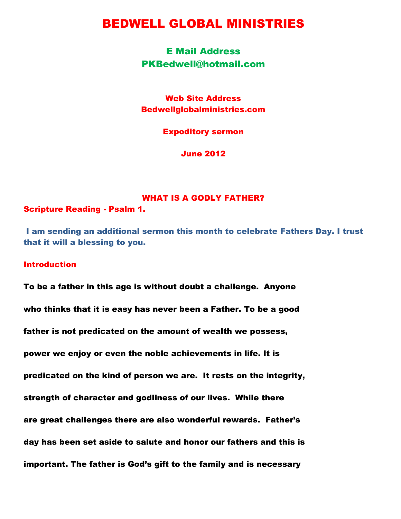# BEDWELL GLOBAL MINISTRIES

# E Mail Address PKBedwell@hotmail.com

Web Site Address Bedwellglobalministries.com

Expoditory sermon

June 2012

# WHAT IS A GODLY FATHER?

Scripture Reading - Psalm 1.

I am sending an additional sermon this month to celebrate Fathers Day. I trust that it will a blessing to you.

# Introduction

To be a father in this age is without doubt a challenge. Anyone who thinks that it is easy has never been a Father. To be a good father is not predicated on the amount of wealth we possess, power we enjoy or even the noble achievements in life. It is predicated on the kind of person we are. It rests on the integrity, strength of character and godliness of our lives. While there are great challenges there are also wonderful rewards. Father"s day has been set aside to salute and honor our fathers and this is important. The father is God"s gift to the family and is necessary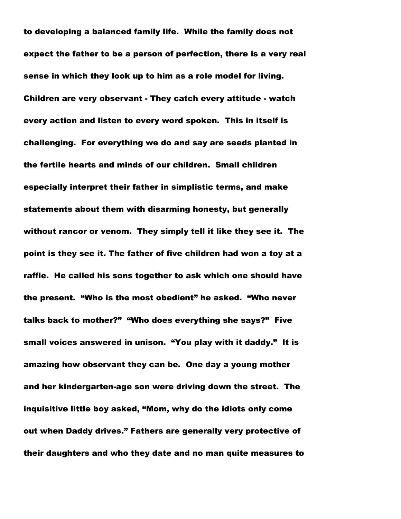to developing a balanced family life. While the family does not expect the father to be a person of perfection, there is a very real sense in which they look up to him as a role model for living. Children are very observant - They catch every attitude - watch every action and listen to every word spoken. This in itself is challenging. For everything we do and say are seeds planted in the fertile hearts and minds of our children. Small children especially interpret their father in simplistic terms, and make statements about them with disarming honesty, but generally without rancor or venom. They simply tell it like they see it. The point is they see it. The father of five children had won a toy at a raffle. He called his sons together to ask which one should have the present. "Who is the most obedient" he asked. "Who never talks back to mother?" "Who does everything she says?" Five small voices answered in unison. "You play with it daddy." It is amazing how observant they can be. One day a young mother and her kindergarten-age son were driving down the street. The inquisitive little boy asked, "Mom, why do the idiots only come out when Daddy drives." Fathers are generally very protective of their daughters and who they date and no man quite measures to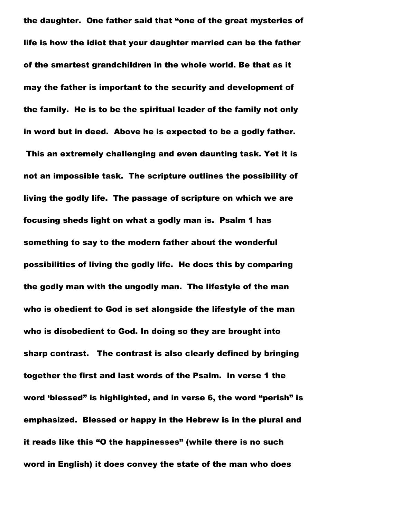the daughter. One father said that "one of the great mysteries of life is how the idiot that your daughter married can be the father of the smartest grandchildren in the whole world. Be that as it may the father is important to the security and development of the family. He is to be the spiritual leader of the family not only in word but in deed. Above he is expected to be a godly father.

This an extremely challenging and even daunting task. Yet it is not an impossible task. The scripture outlines the possibility of living the godly life. The passage of scripture on which we are focusing sheds light on what a godly man is. Psalm 1 has something to say to the modern father about the wonderful possibilities of living the godly life. He does this by comparing the godly man with the ungodly man. The lifestyle of the man who is obedient to God is set alongside the lifestyle of the man who is disobedient to God. In doing so they are brought into sharp contrast. The contrast is also clearly defined by bringing together the first and last words of the Psalm. In verse 1 the word "blessed" is highlighted, and in verse 6, the word "perish" is emphasized. Blessed or happy in the Hebrew is in the plural and it reads like this "O the happinesses" (while there is no such word in English) it does convey the state of the man who does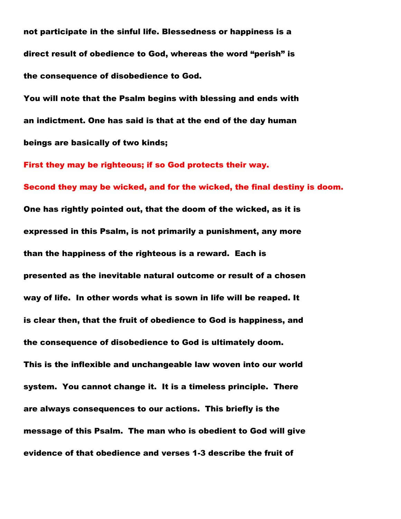not participate in the sinful life. Blessedness or happiness is a direct result of obedience to God, whereas the word "perish" is the consequence of disobedience to God.

You will note that the Psalm begins with blessing and ends with an indictment. One has said is that at the end of the day human beings are basically of two kinds;

First they may be righteous; if so God protects their way. Second they may be wicked, and for the wicked, the final destiny is doom. One has rightly pointed out, that the doom of the wicked, as it is expressed in this Psalm, is not primarily a punishment, any more than the happiness of the righteous is a reward. Each is presented as the inevitable natural outcome or result of a chosen way of life. In other words what is sown in life will be reaped. It is clear then, that the fruit of obedience to God is happiness, and the consequence of disobedience to God is ultimately doom.

This is the inflexible and unchangeable law woven into our world system. You cannot change it. It is a timeless principle. There are always consequences to our actions. This briefly is the message of this Psalm. The man who is obedient to God will give evidence of that obedience and verses 1-3 describe the fruit of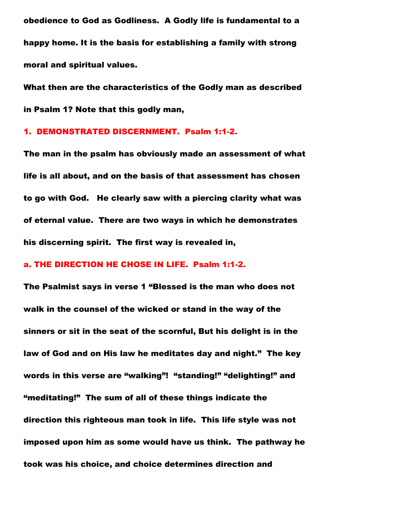obedience to God as Godliness. A Godly life is fundamental to a happy home. It is the basis for establishing a family with strong moral and spiritual values.

What then are the characteristics of the Godly man as described in Psalm 1? Note that this godly man,

### 1. DEMONSTRATED DISCERNMENT. Psalm 1:1-2.

The man in the psalm has obviously made an assessment of what life is all about, and on the basis of that assessment has chosen to go with God. He clearly saw with a piercing clarity what was of eternal value. There are two ways in which he demonstrates his discerning spirit. The first way is revealed in,

#### a. THE DIRECTION HE CHOSE IN LIFE. Psalm 1:1-2.

The Psalmist says in verse 1 "Blessed is the man who does not walk in the counsel of the wicked or stand in the way of the sinners or sit in the seat of the scornful, But his delight is in the law of God and on His law he meditates day and night." The key words in this verse are "walking"! "standing!" "delighting!" and "meditating!" The sum of all of these things indicate the direction this righteous man took in life. This life style was not imposed upon him as some would have us think. The pathway he took was his choice, and choice determines direction and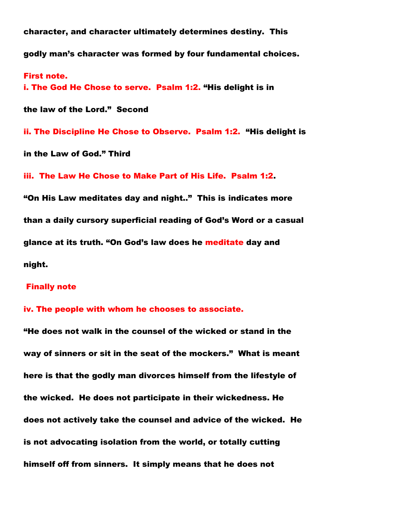character, and character ultimately determines destiny. This godly man"s character was formed by four fundamental choices.

First note. i. The God He Chose to serve. Psalm 1:2. "His delight is in

the law of the Lord." Second

ii. The Discipline He Chose to Observe. Psalm 1:2. "His delight is

in the Law of God." Third

iii. The Law He Chose to Make Part of His Life. Psalm 1:2.

"On His Law meditates day and night.." This is indicates more than a daily cursory superficial reading of God"s Word or a casual glance at its truth. "On God"s law does he meditate day and night.

#### Finally note

#### iv. The people with whom he chooses to associate.

"He does not walk in the counsel of the wicked or stand in the way of sinners or sit in the seat of the mockers." What is meant here is that the godly man divorces himself from the lifestyle of the wicked. He does not participate in their wickedness. He does not actively take the counsel and advice of the wicked. He is not advocating isolation from the world, or totally cutting himself off from sinners. It simply means that he does not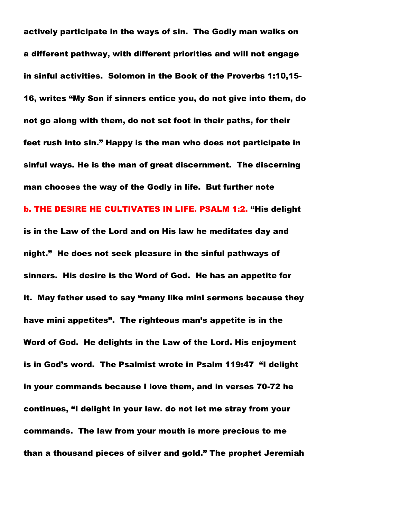actively participate in the ways of sin. The Godly man walks on a different pathway, with different priorities and will not engage in sinful activities. Solomon in the Book of the Proverbs 1:10,15- 16, writes "My Son if sinners entice you, do not give into them, do not go along with them, do not set foot in their paths, for their feet rush into sin." Happy is the man who does not participate in sinful ways. He is the man of great discernment. The discerning man chooses the way of the Godly in life. But further note b. THE DESIRE HE CULTIVATES IN LIFE. PSALM 1:2. "His delight is in the Law of the Lord and on His law he meditates day and night." He does not seek pleasure in the sinful pathways of sinners. His desire is the Word of God. He has an appetite for it. May father used to say "many like mini sermons because they have mini appetites". The righteous man"s appetite is in the Word of God. He delights in the Law of the Lord. His enjoyment is in God"s word. The Psalmist wrote in Psalm 119:47 "I delight in your commands because I love them, and in verses 70-72 he continues, "I delight in your law. do not let me stray from your commands. The law from your mouth is more precious to me than a thousand pieces of silver and gold." The prophet Jeremiah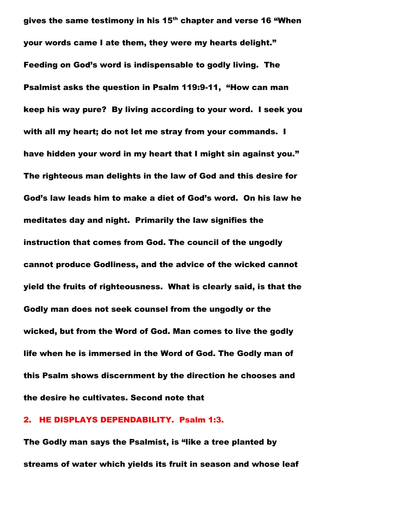gives the same testimony in his 15<sup>th</sup> chapter and verse 16 "When your words came I ate them, they were my hearts delight." Feeding on God"s word is indispensable to godly living. The Psalmist asks the question in Psalm 119:9-11, "How can man keep his way pure? By living according to your word. I seek you with all my heart; do not let me stray from your commands. I have hidden your word in my heart that I might sin against you." The righteous man delights in the law of God and this desire for God"s law leads him to make a diet of God"s word. On his law he meditates day and night. Primarily the law signifies the instruction that comes from God. The council of the ungodly cannot produce Godliness, and the advice of the wicked cannot yield the fruits of righteousness. What is clearly said, is that the Godly man does not seek counsel from the ungodly or the wicked, but from the Word of God. Man comes to live the godly life when he is immersed in the Word of God. The Godly man of this Psalm shows discernment by the direction he chooses and the desire he cultivates. Second note that

#### 2. HE DISPLAYS DEPENDABILITY. Psalm 1:3.

The Godly man says the Psalmist, is "like a tree planted by streams of water which yields its fruit in season and whose leaf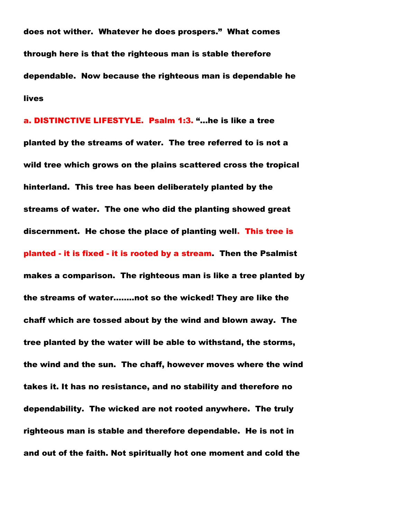does not wither. Whatever he does prospers." What comes through here is that the righteous man is stable therefore dependable. Now because the righteous man is dependable he lives

a. DISTINCTIVE LIFESTYLE. Psalm 1:3. "…he is like a tree planted by the streams of water. The tree referred to is not a wild tree which grows on the plains scattered cross the tropical hinterland. This tree has been deliberately planted by the streams of water. The one who did the planting showed great discernment. He chose the place of planting well. This tree is planted - it is fixed - it is rooted by a stream. Then the Psalmist makes a comparison. The righteous man is like a tree planted by the streams of water……..not so the wicked! They are like the chaff which are tossed about by the wind and blown away. The tree planted by the water will be able to withstand, the storms, the wind and the sun. The chaff, however moves where the wind takes it. It has no resistance, and no stability and therefore no dependability. The wicked are not rooted anywhere. The truly righteous man is stable and therefore dependable. He is not in and out of the faith. Not spiritually hot one moment and cold the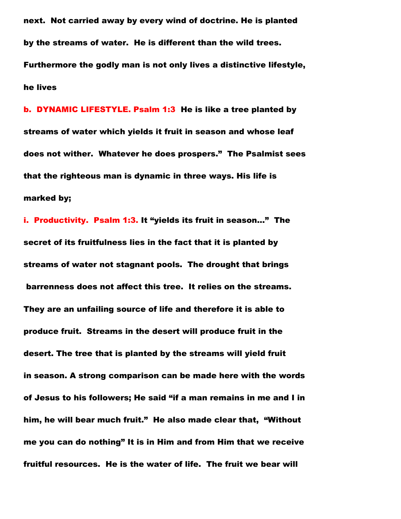next. Not carried away by every wind of doctrine. He is planted by the streams of water. He is different than the wild trees. Furthermore the godly man is not only lives a distinctive lifestyle, he lives

b. DYNAMIC LIFESTYLE. Psalm 1:3 He is like a tree planted by streams of water which yields it fruit in season and whose leaf does not wither. Whatever he does prospers." The Psalmist sees that the righteous man is dynamic in three ways. His life is marked by;

i. Productivity. Psalm 1:3. It "yields its fruit in season…" The secret of its fruitfulness lies in the fact that it is planted by streams of water not stagnant pools. The drought that brings barrenness does not affect this tree. It relies on the streams. They are an unfailing source of life and therefore it is able to produce fruit. Streams in the desert will produce fruit in the desert. The tree that is planted by the streams will yield fruit in season. A strong comparison can be made here with the words of Jesus to his followers; He said "if a man remains in me and I in him, he will bear much fruit." He also made clear that, "Without me you can do nothing" It is in Him and from Him that we receive fruitful resources. He is the water of life. The fruit we bear will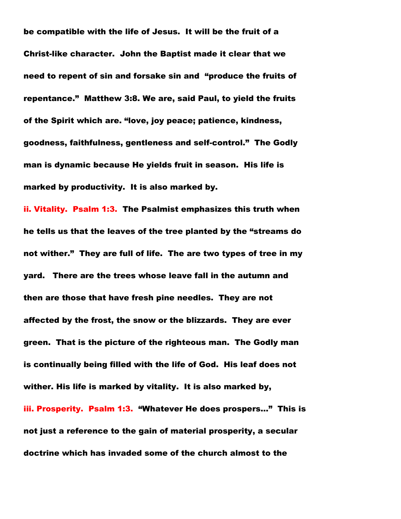be compatible with the life of Jesus. It will be the fruit of a Christ-like character. John the Baptist made it clear that we need to repent of sin and forsake sin and "produce the fruits of repentance." Matthew 3:8. We are, said Paul, to yield the fruits of the Spirit which are. "love, joy peace; patience, kindness, goodness, faithfulness, gentleness and self-control." The Godly man is dynamic because He yields fruit in season. His life is marked by productivity. It is also marked by.

ii. Vitality. Psalm 1:3. The Psalmist emphasizes this truth when he tells us that the leaves of the tree planted by the "streams do not wither." They are full of life. The are two types of tree in my yard. There are the trees whose leave fall in the autumn and then are those that have fresh pine needles. They are not affected by the frost, the snow or the blizzards. They are ever green. That is the picture of the righteous man. The Godly man is continually being filled with the life of God. His leaf does not wither. His life is marked by vitality. It is also marked by, iii. Prosperity. Psalm 1:3. "Whatever He does prospers…" This is not just a reference to the gain of material prosperity, a secular doctrine which has invaded some of the church almost to the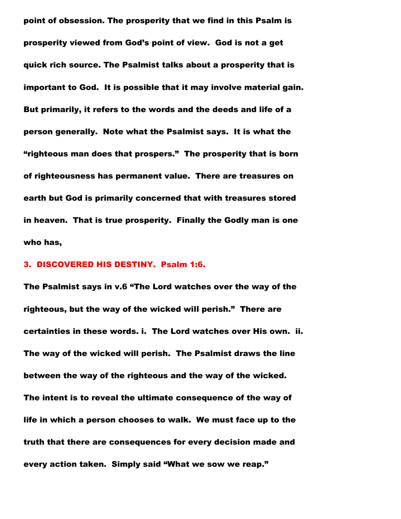point of obsession. The prosperity that we find in this Psalm is prosperity viewed from God"s point of view. God is not a get quick rich source. The Psalmist talks about a prosperity that is important to God. It is possible that it may involve material gain. But primarily, it refers to the words and the deeds and life of a person generally. Note what the Psalmist says. It is what the "righteous man does that prospers." The prosperity that is born of righteousness has permanent value. There are treasures on earth but God is primarily concerned that with treasures stored in heaven. That is true prosperity. Finally the Godly man is one who has,

# 3. DISCOVERED HIS DESTINY. Psalm 1:6.

The Psalmist says in v.6 "The Lord watches over the way of the righteous, but the way of the wicked will perish." There are certainties in these words. i. The Lord watches over His own. ii. The way of the wicked will perish. The Psalmist draws the line between the way of the righteous and the way of the wicked. The intent is to reveal the ultimate consequence of the way of life in which a person chooses to walk. We must face up to the truth that there are consequences for every decision made and every action taken. Simply said "What we sow we reap."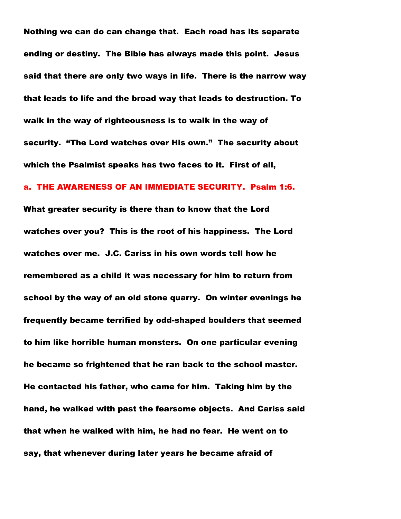Nothing we can do can change that. Each road has its separate ending or destiny. The Bible has always made this point. Jesus said that there are only two ways in life. There is the narrow way that leads to life and the broad way that leads to destruction. To walk in the way of righteousness is to walk in the way of security. "The Lord watches over His own." The security about which the Psalmist speaks has two faces to it. First of all,

#### a. THE AWARENESS OF AN IMMEDIATE SECURITY. Psalm 1:6.

What greater security is there than to know that the Lord watches over you? This is the root of his happiness. The Lord watches over me. J.C. Cariss in his own words tell how he remembered as a child it was necessary for him to return from school by the way of an old stone quarry. On winter evenings he frequently became terrified by odd-shaped boulders that seemed to him like horrible human monsters. On one particular evening he became so frightened that he ran back to the school master. He contacted his father, who came for him. Taking him by the hand, he walked with past the fearsome objects. And Cariss said that when he walked with him, he had no fear. He went on to say, that whenever during later years he became afraid of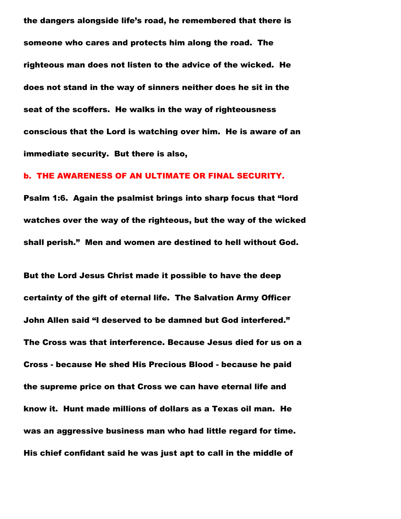the dangers alongside life"s road, he remembered that there is someone who cares and protects him along the road. The righteous man does not listen to the advice of the wicked. He does not stand in the way of sinners neither does he sit in the seat of the scoffers. He walks in the way of righteousness conscious that the Lord is watching over him. He is aware of an immediate security. But there is also,

#### b. THE AWARENESS OF AN ULTIMATE OR FINAL SECURITY.

Psalm 1:6. Again the psalmist brings into sharp focus that "lord watches over the way of the righteous, but the way of the wicked shall perish." Men and women are destined to hell without God.

But the Lord Jesus Christ made it possible to have the deep certainty of the gift of eternal life. The Salvation Army Officer John Allen said "I deserved to be damned but God interfered." The Cross was that interference. Because Jesus died for us on a Cross - because He shed His Precious Blood - because he paid the supreme price on that Cross we can have eternal life and know it. Hunt made millions of dollars as a Texas oil man. He was an aggressive business man who had little regard for time. His chief confidant said he was just apt to call in the middle of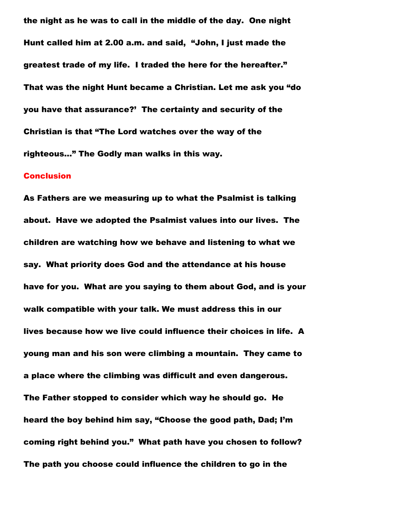the night as he was to call in the middle of the day. One night Hunt called him at 2.00 a.m. and said, "John, I just made the greatest trade of my life. I traded the here for the hereafter." That was the night Hunt became a Christian. Let me ask you "do you have that assurance?" The certainty and security of the Christian is that "The Lord watches over the way of the righteous…" The Godly man walks in this way.

#### **Conclusion**

As Fathers are we measuring up to what the Psalmist is talking about. Have we adopted the Psalmist values into our lives. The children are watching how we behave and listening to what we say. What priority does God and the attendance at his house have for you. What are you saying to them about God, and is your walk compatible with your talk. We must address this in our lives because how we live could influence their choices in life. A young man and his son were climbing a mountain. They came to a place where the climbing was difficult and even dangerous. The Father stopped to consider which way he should go. He heard the boy behind him say, "Choose the good path, Dad; I"m coming right behind you." What path have you chosen to follow? The path you choose could influence the children to go in the